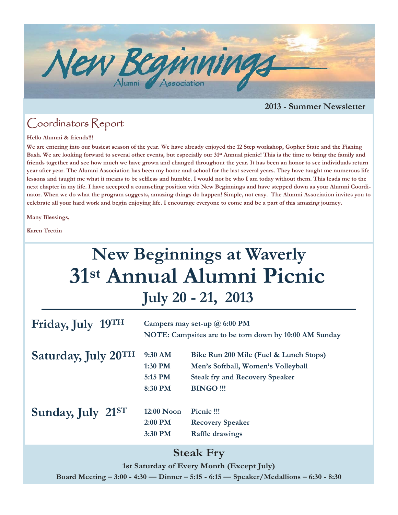

#### **2013 - Summer Newsletter**

### Coordinators Report

#### **Hello Alumni & friends!!!**

**We are entering into our busiest season of the year. We have already enjoyed the 12 Step workshop, Gopher State and the Fishing Bash. We are looking forward to several other events, but especially our 31st Annual picnic! This is the time to bring the family and friends together and see how much we have grown and changed throughout the year. It has been an honor to see individuals return year after year. The Alumni Association has been my home and school for the last several years. They have taught me numerous life lessons and taught me what it means to be selfless and humble. I would not be who I am today without them. This leads me to the next chapter in my life. I have accepted a counseling position with New Beginnings and have stepped down as your Alumni Coordinator. When we do what the program suggests, amazing things do happen! Simple, not easy. The Alumni Association invites you to celebrate all your hard work and begin enjoying life. I encourage everyone to come and be a part of this amazing journey.** 

**Many Blessings,** 

**Karen Trettin** 

# **31st Annual Alumni Picnic New Beginnings at Waverly July 20 - 21, 2013**

| Friday, July 19TH   | Campers may set-up $\omega$ 6:00 PM<br>NOTE: Campsites are to be torn down by 10:00 AM Sunday |                                        |
|---------------------|-----------------------------------------------------------------------------------------------|----------------------------------------|
| Saturday, July 20TH | 9:30 AM                                                                                       | Bike Run 200 Mile (Fuel & Lunch Stops) |
|                     | 1:30 PM                                                                                       | Men's Softball, Women's Volleyball     |
|                     | 5:15 PM                                                                                       | <b>Steak fry and Recovery Speaker</b>  |
|                     | 8:30 PM                                                                                       | <b>BINGO!!!</b>                        |
|                     |                                                                                               |                                        |
| Sunday, July 21ST   | $12:00$ Noon                                                                                  | Picnic !!!                             |
|                     | 2:00 PM                                                                                       | <b>Recovery Speaker</b>                |
|                     | 3:30 PM                                                                                       | <b>Raffle drawings</b>                 |

### **Steak Fry**

**1st Saturday of Every Month (Except July)** 

**Board Meeting – 3:00 - 4:30 — Dinner – 5:15 - 6:15 — Speaker/Medallions – 6:30 - 8:30**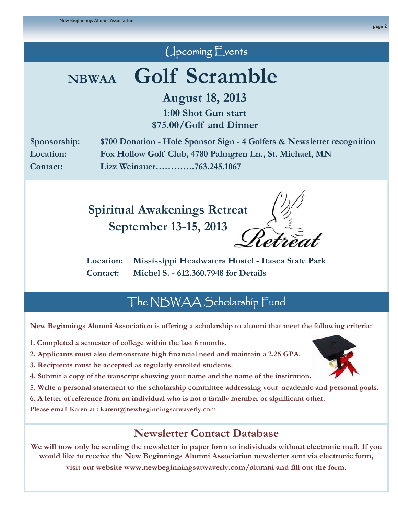## Upcoming Events

# **NBWAA Golf Scramble**

**August 18, 2013** 

**1:00 Shot Gun start \$75.00/Golf and Dinner** 

**Sponsorship: \$700 Donation - Hole Sponsor Sign - 4 Golfers & Newsletter recognition Location: Fox Hollow Golf Club, 4780 Palmgren Ln., St. Michael, MN Contact: Lizz Weinauer………….763.245.1067** 

> **Spiritual Awakenings Retreat September 13-15, 2013**

**Location: Mississippi Headwaters Hostel - Itasca State Park Contact: Michel S. - 612.360.7948 for Details** 

# The NBWAA Scholarship Fund

**New Beginnings Alumni Association is offering a scholarship to alumni that meet the following criteria:**

- **1. Completed a semester of college within the last 6 months.**
- **2. Applicants must also demonstrate high financial need and maintain a 2.25 GPA.**
- **3. Recipients must be accepted as regularly enrolled students.**
- **4. Submit a copy of the transcript showing your name and the name of the institution.**
- **5. Write a personal statement to the scholarship committee addressing your academic and personal goals.**
- **6. A letter of reference from an individual who is not a family member or significant other.**

**Please email Karen at : karent@newbeginningsatwaverly.com** 

# **Newsletter Contact Database**

**We will now only be sending the newsletter in paper form to individuals without electronic mail. If you would like to receive the New Beginnings Alumni Association newsletter sent via electronic form, visit our website www.newbeginningsatwaverly.com/alumni and fill out the form.**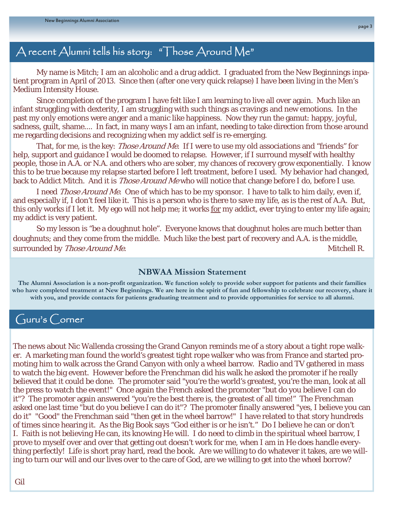### A recent Alumni tells his story: "Those Around Me"

 My name is Mitch; I am an alcoholic and a drug addict. I graduated from the New Beginnings inpatient program in April of 2013. Since then (after one very quick relapse) I have been living in the Men's Medium Intensity House.

 Since completion of the program I have felt like I am learning to live all over again. Much like an infant struggling with dexterity, I am struggling with such things as cravings and new emotions. In the past my only emotions were anger and a manic like happiness. Now they run the gamut: happy, joyful, sadness, guilt, shame.... In fact, in many ways I am an infant, needing to take direction from those around me regarding decisions and recognizing when my addict self is re-emerging.

That, for me, is the key: *Those Around Me*. If I were to use my old associations and "friends" for help, support and guidance I would be doomed to relapse. However, if I surround myself with healthy people, those in A.A. or N.A. and others who are sober, my chances of recovery grow exponentially. I know this to be true because my relapse started before I left treatment, before I used. My behavior had changed, back to Addict Mitch. And it is *Those Around Me* who will notice that change before I do, before I use.

 I need Those Around Me. One of which has to be my sponsor. I have to talk to him daily, even if, and especially if, I don't feel like it. This is a person who is there to save my life, as is the rest of A.A. But, this only works if I let it. My ego will not help me; it works for my addict, ever trying to enter my life again; my addict is very patient.

 So my lesson is "be a doughnut hole". Everyone knows that doughnut holes are much better than doughnuts; and they come from the middle. Much like the best part of recovery and A.A. is the middle, surrounded by *Those Around Me.* Mitchell R.

#### **NBWAA Mission Statement**

**The Alumni Association is a non-profit organization. We function solely to provide sober support for patients and their families who have completed treatment at New Beginnings. We are here in the spirit of fun and fellowship to celebrate our recovery, share it with you, and provide contacts for patients graduating treatment and to provide opportunities for service to all alumni.** 

### Guru's Corner

The news about Nic Wallenda crossing the Grand Canyon reminds me of a story about a tight rope walker. A marketing man found the world's greatest tight rope walker who was from France and started promoting him to walk across the Grand Canyon with only a wheel barrow. Radio and TV gathered in mass to watch the big event. However before the Frenchman did his walk he asked the promoter if he really believed that it could be done. The promoter said "you're the world's greatest, you're the man, look at all the press to watch the event!" Once again the French asked the promoter "but do you believe I can do it"? The promoter again answered "you're the best there is, the greatest of all time!" The Frenchman asked one last time "but do you believe I can do it"? The promoter finally answered "yes, I believe you can do it" "Good" the Frenchman said "then get in the wheel barrow!" I have related to that story hundreds of times since hearing it. As the Big Book says "God either is or he isn't." Do I believe he can or don't I. Faith is not believing He can, its knowing He will. I do need to climb in the spiritual wheel barrow, I prove to myself over and over that getting out doesn't work for me, when I am in He does handle everything perfectly! Life is short pray hard, read the book. Are we willing to do whatever it takes, are we willing to turn our will and our lives over to the care of God, are we willing to get into the wheel borrow?